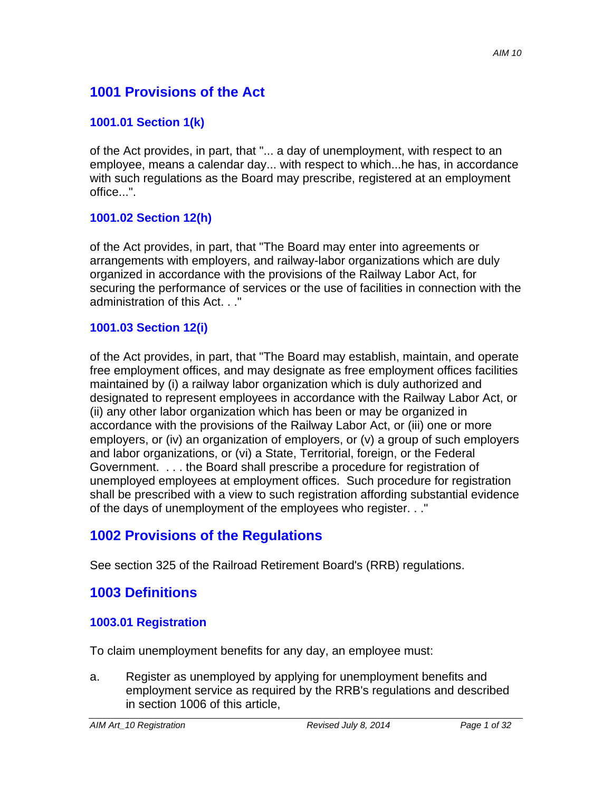# **1001 Provisions of the Act**

## **1001.01 Section 1(k)**

of the Act provides, in part, that "... a day of unemployment, with respect to an employee, means a calendar day... with respect to which...he has, in accordance with such regulations as the Board may prescribe, registered at an employment office...".

## **1001.02 Section 12(h)**

of the Act provides, in part, that "The Board may enter into agreements or arrangements with employers, and railway-labor organizations which are duly organized in accordance with the provisions of the Railway Labor Act, for securing the performance of services or the use of facilities in connection with the administration of this Act. . ."

### **1001.03 Section 12(i)**

of the Act provides, in part, that "The Board may establish, maintain, and operate free employment offices, and may designate as free employment offices facilities maintained by (i) a railway labor organization which is duly authorized and designated to represent employees in accordance with the Railway Labor Act, or (ii) any other labor organization which has been or may be organized in accordance with the provisions of the Railway Labor Act, or (iii) one or more employers, or (iv) an organization of employers, or (v) a group of such employers and labor organizations, or (vi) a State, Territorial, foreign, or the Federal Government. . . . the Board shall prescribe a procedure for registration of unemployed employees at employment offices. Such procedure for registration shall be prescribed with a view to such registration affording substantial evidence of the days of unemployment of the employees who register. . ."

# **1002 Provisions of the Regulations**

See section 325 of the Railroad Retirement Board's (RRB) regulations.

# **1003 Definitions**

#### **1003.01 Registration**

To claim unemployment benefits for any day, an employee must:

a. Register as unemployed by applying for unemployment benefits and employment service as required by the RRB's regulations and described in section 1006 of this article,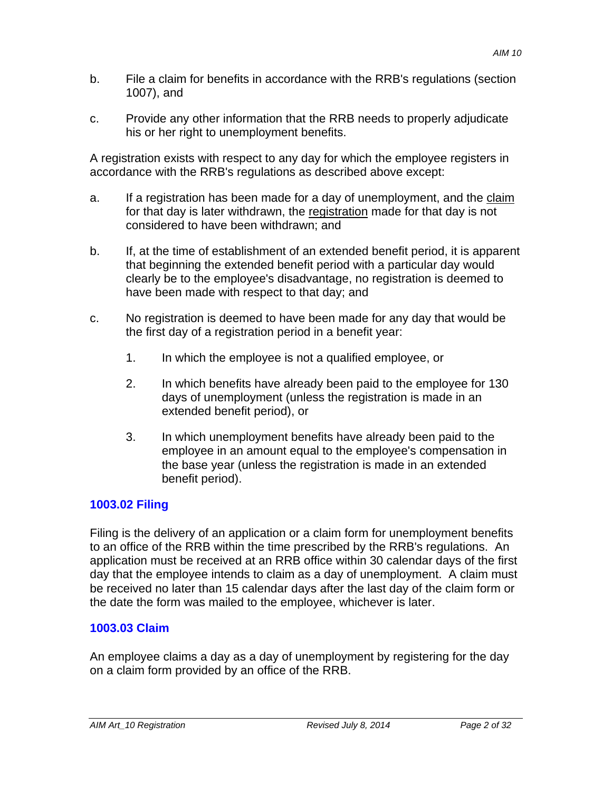- b. File a claim for benefits in accordance with the RRB's regulations (section 1007), and
- c. Provide any other information that the RRB needs to properly adjudicate his or her right to unemployment benefits.

A registration exists with respect to any day for which the employee registers in accordance with the RRB's regulations as described above except:

- a. If a registration has been made for a day of unemployment, and the claim for that day is later withdrawn, the registration made for that day is not considered to have been withdrawn; and
- b. If, at the time of establishment of an extended benefit period, it is apparent that beginning the extended benefit period with a particular day would clearly be to the employee's disadvantage, no registration is deemed to have been made with respect to that day; and
- c. No registration is deemed to have been made for any day that would be the first day of a registration period in a benefit year:
	- 1. In which the employee is not a qualified employee, or
	- 2. In which benefits have already been paid to the employee for 130 days of unemployment (unless the registration is made in an extended benefit period), or
	- 3. In which unemployment benefits have already been paid to the employee in an amount equal to the employee's compensation in the base year (unless the registration is made in an extended benefit period).

# **1003.02 Filing**

Filing is the delivery of an application or a claim form for unemployment benefits to an office of the RRB within the time prescribed by the RRB's regulations. An application must be received at an RRB office within 30 calendar days of the first day that the employee intends to claim as a day of unemployment. A claim must be received no later than 15 calendar days after the last day of the claim form or the date the form was mailed to the employee, whichever is later.

# **1003.03 Claim**

An employee claims a day as a day of unemployment by registering for the day on a claim form provided by an office of the RRB.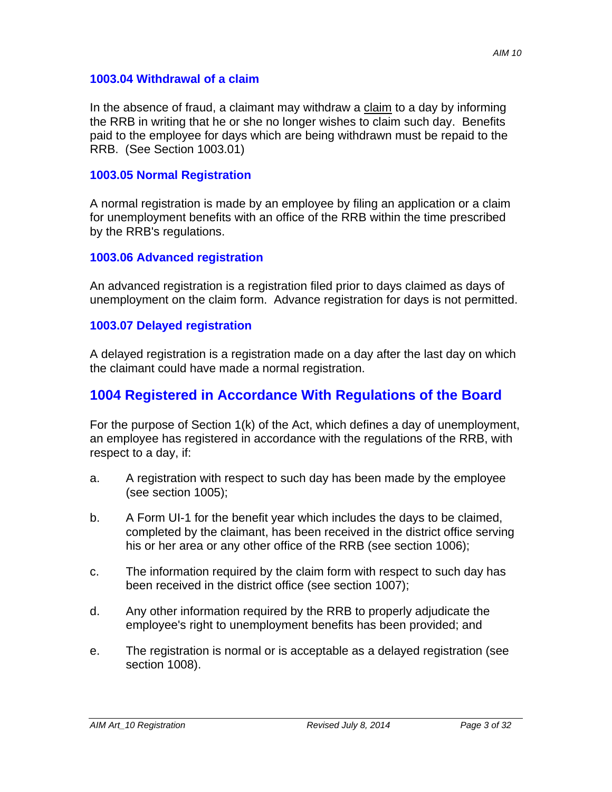#### **1003.04 Withdrawal of a claim**

In the absence of fraud, a claimant may withdraw a claim to a day by informing the RRB in writing that he or she no longer wishes to claim such day. Benefits paid to the employee for days which are being withdrawn must be repaid to the RRB. (See Section 1003.01)

#### **1003.05 Normal Registration**

A normal registration is made by an employee by filing an application or a claim for unemployment benefits with an office of the RRB within the time prescribed by the RRB's regulations.

#### **1003.06 Advanced registration**

An advanced registration is a registration filed prior to days claimed as days of unemployment on the claim form. Advance registration for days is not permitted.

#### **1003.07 Delayed registration**

A delayed registration is a registration made on a day after the last day on which the claimant could have made a normal registration.

# **1004 Registered in Accordance With Regulations of the Board**

For the purpose of Section 1(k) of the Act, which defines a day of unemployment, an employee has registered in accordance with the regulations of the RRB, with respect to a day, if:

- a. A registration with respect to such day has been made by the employee (see section 1005);
- b. A Form UI-1 for the benefit year which includes the days to be claimed, completed by the claimant, has been received in the district office serving his or her area or any other office of the RRB (see section 1006);
- c. The information required by the claim form with respect to such day has been received in the district office (see section 1007);
- d. Any other information required by the RRB to properly adjudicate the employee's right to unemployment benefits has been provided; and
- e. The registration is normal or is acceptable as a delayed registration (see section 1008).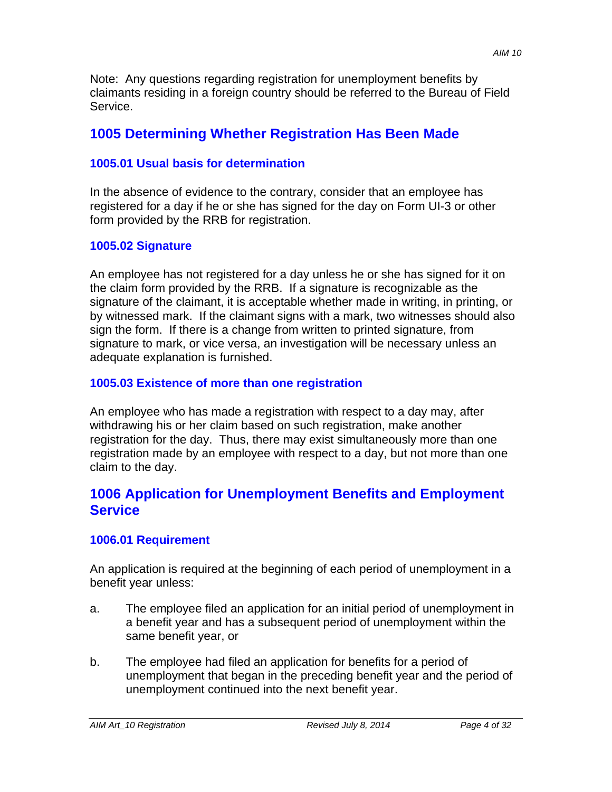Note: Any questions regarding registration for unemployment benefits by claimants residing in a foreign country should be referred to the Bureau of Field Service.

# **1005 Determining Whether Registration Has Been Made**

## **1005.01 Usual basis for determination**

In the absence of evidence to the contrary, consider that an employee has registered for a day if he or she has signed for the day on Form UI-3 or other form provided by the RRB for registration.

# **1005.02 Signature**

An employee has not registered for a day unless he or she has signed for it on the claim form provided by the RRB. If a signature is recognizable as the signature of the claimant, it is acceptable whether made in writing, in printing, or by witnessed mark. If the claimant signs with a mark, two witnesses should also sign the form. If there is a change from written to printed signature, from signature to mark, or vice versa, an investigation will be necessary unless an adequate explanation is furnished.

# **1005.03 Existence of more than one registration**

An employee who has made a registration with respect to a day may, after withdrawing his or her claim based on such registration, make another registration for the day. Thus, there may exist simultaneously more than one registration made by an employee with respect to a day, but not more than one claim to the day.

# **1006 Application for Unemployment Benefits and Employment Service**

## **1006.01 Requirement**

An application is required at the beginning of each period of unemployment in a benefit year unless:

- a. The employee filed an application for an initial period of unemployment in a benefit year and has a subsequent period of unemployment within the same benefit year, or
- b. The employee had filed an application for benefits for a period of unemployment that began in the preceding benefit year and the period of unemployment continued into the next benefit year.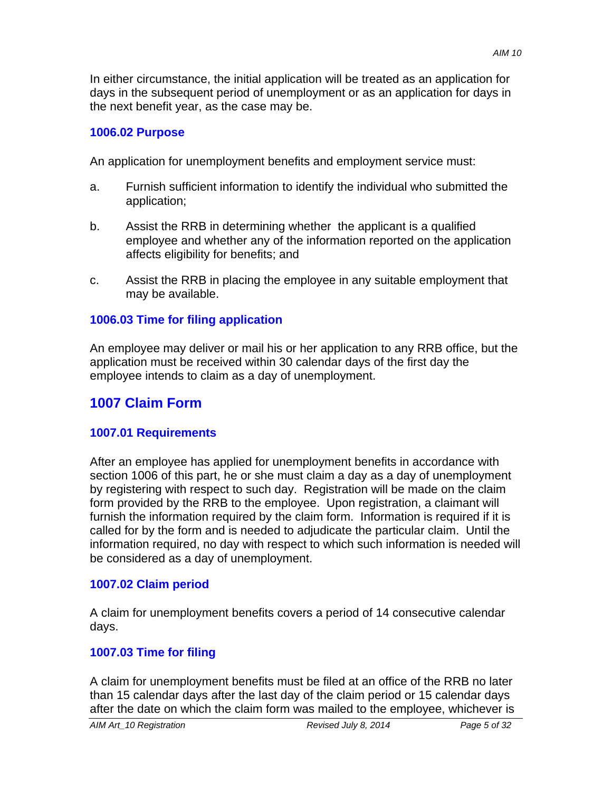In either circumstance, the initial application will be treated as an application for days in the subsequent period of unemployment or as an application for days in the next benefit year, as the case may be.

## **1006.02 Purpose**

An application for unemployment benefits and employment service must:

- application; a. Furnish sufficient information to identify the individual who submitted the
- b. Assist the RRB in determining whether the applicant is a qualified employee and whether any of the information reported on the application affects eligibility for benefits; and
- c. Assist the RRB in placing the employee in any suitable employment that may be available.

# **1006.03 Time for filing application**

An employee may deliver or mail his or her application to any RRB office, but the application must be received within 30 calendar days of the first day the employee intends to claim as a day of unemployment.

# **1007 Claim Form**

## **1007.01 Requirements**

After an employee has applied for unemployment benefits in accordance with section 1006 of this part, he or she must claim a day as a day of unemployment by registering with respect to such day. Registration will be made on the claim form provided by the RRB to the employee. Upon registration, a claimant will furnish the information required by the claim form. Information is required if it is called for by the form and is needed to adjudicate the particular claim. Until the information required, no day with respect to which such information is needed will be considered as a day of unemployment.

## **1007.02 Claim period**

A claim for unemployment benefits covers a period of 14 consecutive calendar days.

# **1007.03 Time for filing**

A claim for unemployment benefits must be filed at an office of the RRB no later than 15 calendar days after the last day of the claim period or 15 calendar days after the date on which the claim form was mailed to the employee, whichever is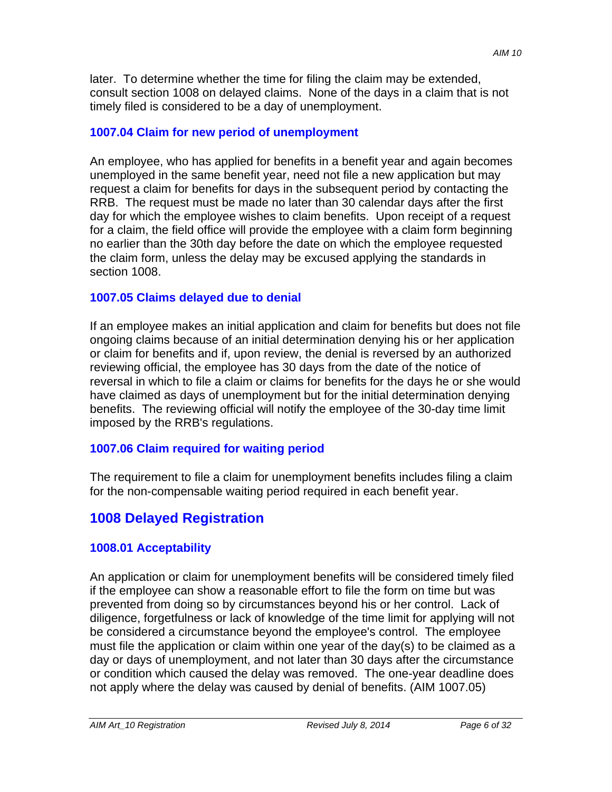later. To determine whether the time for filing the claim may be extended, consult section 1008 on delayed claims. None of the days in a claim that is not timely filed is considered to be a day of unemployment.

### **1007.04 Claim for new period of unemployment**

An employee, who has applied for benefits in a benefit year and again becomes unemployed in the same benefit year, need not file a new application but may request a claim for benefits for days in the subsequent period by contacting the RRB. The request must be made no later than 30 calendar days after the first day for which the employee wishes to claim benefits. Upon receipt of a request for a claim, the field office will provide the employee with a claim form beginning no earlier than the 30th day before the date on which the employee requested the claim form, unless the delay may be excused applying the standards in section 1008.

#### **1007.05 Claims delayed due to denial**

If an employee makes an initial application and claim for benefits but does not file ongoing claims because of an initial determination denying his or her application or claim for benefits and if, upon review, the denial is reversed by an authorized reviewing official, the employee has 30 days from the date of the notice of reversal in which to file a claim or claims for benefits for the days he or she would have claimed as days of unemployment but for the initial determination denying benefits. The reviewing official will notify the employee of the 30-day time limit imposed by the RRB's regulations.

## **1007.06 Claim required for waiting period**

The requirement to file a claim for unemployment benefits includes filing a claim for the non-compensable waiting period required in each benefit year.

# **1008 Delayed Registration**

## **1008.01 Acceptability**

An application or claim for unemployment benefits will be considered timely filed if the employee can show a reasonable effort to file the form on time but was prevented from doing so by circumstances beyond his or her control. Lack of diligence, forgetfulness or lack of knowledge of the time limit for applying will not be considered a circumstance beyond the employee's control. The employee must file the application or claim within one year of the day(s) to be claimed as a day or days of unemployment, and not later than 30 days after the circumstance or condition which caused the delay was removed. The one-year deadline does not apply where the delay was caused by denial of benefits. (AIM 1007.05)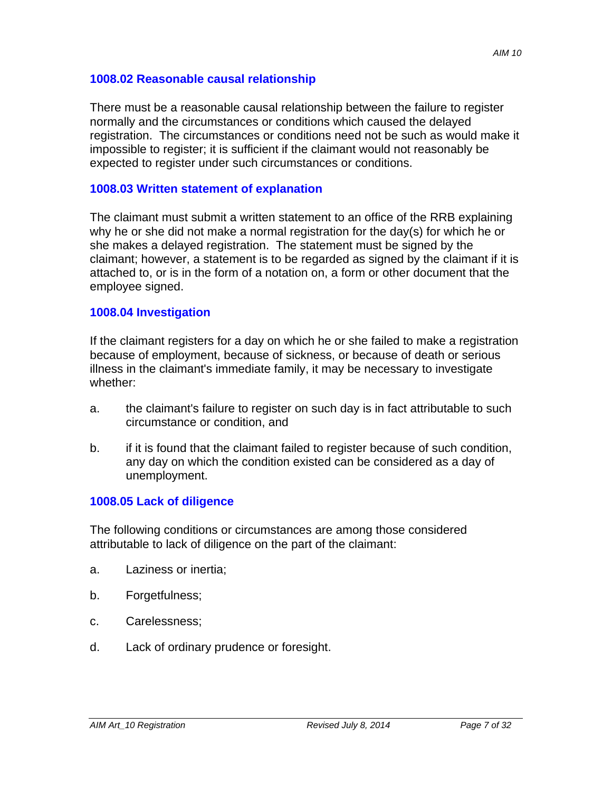#### **1008.02 Reasonable causal relationship**

There must be a reasonable causal relationship between the failure to register normally and the circumstances or conditions which caused the delayed registration. The circumstances or conditions need not be such as would make it impossible to register; it is sufficient if the claimant would not reasonably be expected to register under such circumstances or conditions.

#### **1008.03 Written statement of explanation**

The claimant must submit a written statement to an office of the RRB explaining why he or she did not make a normal registration for the day(s) for which he or she makes a delayed registration. The statement must be signed by the claimant; however, a statement is to be regarded as signed by the claimant if it is attached to, or is in the form of a notation on, a form or other document that the employee signed.

#### **1008.04 Investigation**

If the claimant registers for a day on which he or she failed to make a registration because of employment, because of sickness, or because of death or serious illness in the claimant's immediate family, it may be necessary to investigate whether:

- a. the claimant's failure to register on such day is in fact attributable to such circumstance or condition, and
- b. if it is found that the claimant failed to register because of such condition, any day on which the condition existed can be considered as a day of unemployment.

## **1008.05 Lack of diligence**

The following conditions or circumstances are among those considered attributable to lack of diligence on the part of the claimant:

- a. Laziness or inertia;
- b. Forgetfulness;
- c. Carelessness;
- d. Lack of ordinary prudence or foresight.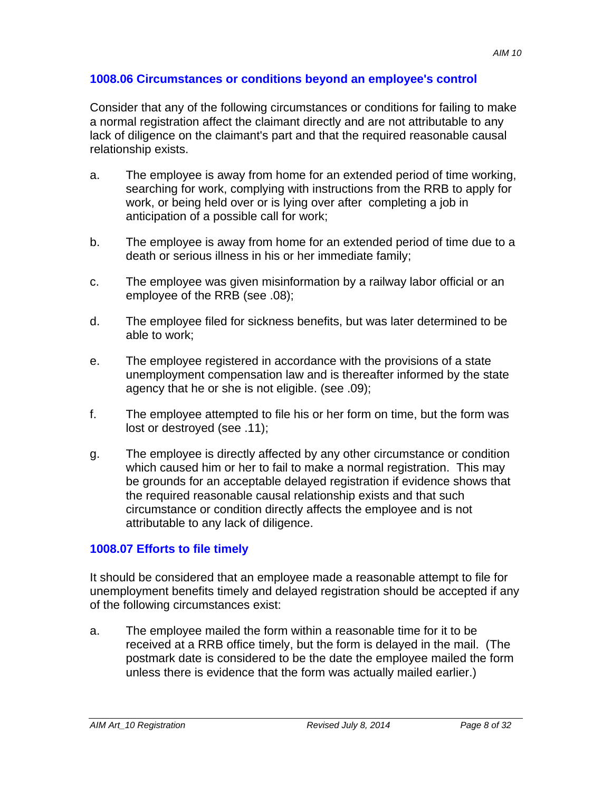#### **1008.06 Circumstances or conditions beyond an employee's control**

Consider that any of the following circumstances or conditions for failing to make a normal registration affect the claimant directly and are not attributable to any lack of diligence on the claimant's part and that the required reasonable causal relationship exists.

- a. The employee is away from home for an extended period of time working, searching for work, complying with instructions from the RRB to apply for work, or being held over or is lying over after completing a job in anticipation of a possible call for work;
- b. The employee is away from home for an extended period of time due to a death or serious illness in his or her immediate family;
- c. The employee was given misinformation by a railway labor official or an employee of the RRB (see .08);
- d. The employee filed for sickness benefits, but was later determined to be able to work;
- e. The employee registered in accordance with the provisions of a state unemployment compensation law and is thereafter informed by the state agency that he or she is not eligible. (see .09);
- f. The employee attempted to file his or her form on time, but the form was lost or destroyed (see .11);
- g. The employee is directly affected by any other circumstance or condition which caused him or her to fail to make a normal registration. This may be grounds for an acceptable delayed registration if evidence shows that the required reasonable causal relationship exists and that such circumstance or condition directly affects the employee and is not attributable to any lack of diligence.

## **1008.07 Efforts to file timely**

It should be considered that an employee made a reasonable attempt to file for unemployment benefits timely and delayed registration should be accepted if any of the following circumstances exist:

a. The employee mailed the form within a reasonable time for it to be received at a RRB office timely, but the form is delayed in the mail. (The postmark date is considered to be the date the employee mailed the form unless there is evidence that the form was actually mailed earlier.)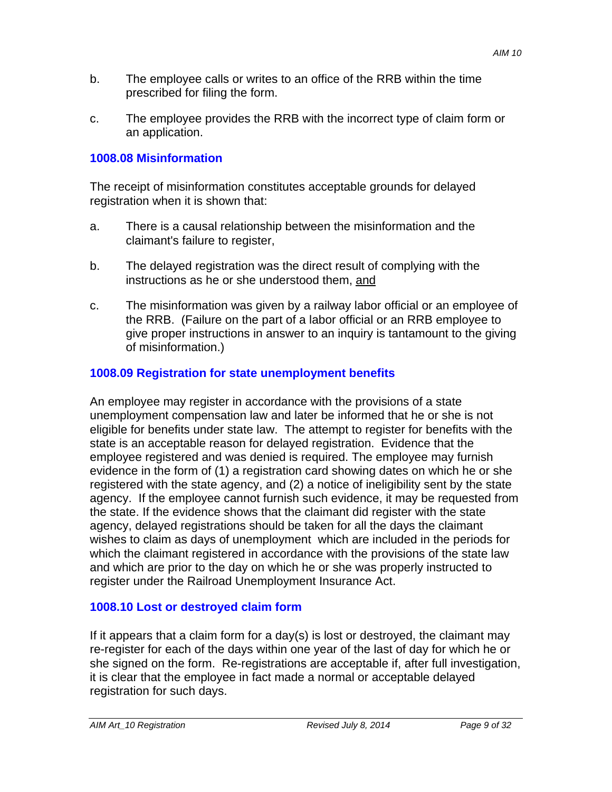- b. The employee calls or writes to an office of the RRB within the time prescribed for filing the form.
- c. The employee provides the RRB with the incorrect type of claim form or an application.

## **1008.08 Misinformation**

The receipt of misinformation constitutes acceptable grounds for delayed registration when it is shown that:

- a. There is a causal relationship between the misinformation and the claimant's failure to register,
- b. The delayed registration was the direct result of complying with the instructions as he or she understood them, and
- c. The misinformation was given by a railway labor official or an employee of the RRB. (Failure on the part of a labor official or an RRB employee to give proper instructions in answer to an inquiry is tantamount to the giving of misinformation.)

## **1008.09 Registration for state unemployment benefits**

An employee may register in accordance with the provisions of a state unemployment compensation law and later be informed that he or she is not eligible for benefits under state law. The attempt to register for benefits with the state is an acceptable reason for delayed registration. Evidence that the employee registered and was denied is required. The employee may furnish evidence in the form of (1) a registration card showing dates on which he or she registered with the state agency, and (2) a notice of ineligibility sent by the state agency. If the employee cannot furnish such evidence, it may be requested from the state. If the evidence shows that the claimant did register with the state agency, delayed registrations should be taken for all the days the claimant wishes to claim as days of unemployment which are included in the periods for which the claimant registered in accordance with the provisions of the state law and which are prior to the day on which he or she was properly instructed to register under the Railroad Unemployment Insurance Act.

#### **1008.10 Lost or destroyed claim form**

If it appears that a claim form for a day(s) is lost or destroyed, the claimant may re-register for each of the days within one year of the last of day for which he or she signed on the form. Re-registrations are acceptable if, after full investigation, it is clear that the employee in fact made a normal or acceptable delayed registration for such days.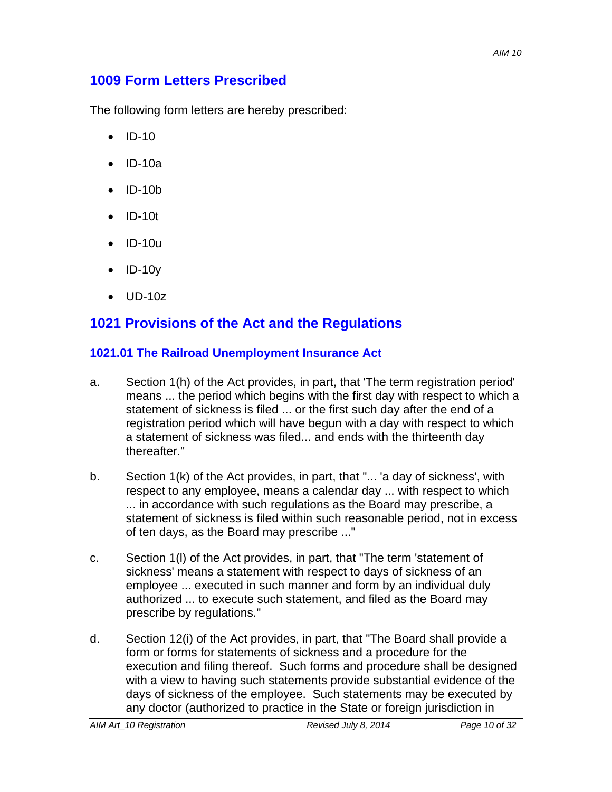# **1009 Form Letters Prescribed**

The following form letters are hereby prescribed:

- $\bullet$  ID-10
- $\bullet$  ID-10a
- $\bullet$  ID-10b
- $\bullet$  ID-10t
- $\bullet$  ID-10u
- $\bullet$  ID-10y
- UD-10z

# **1021 Provisions of the Act and the Regulations**

### **1021.01 The Railroad Unemployment Insurance Act**

- a. Section 1(h) of the Act provides, in part, that 'The term registration period' means ... the period which begins with the first day with respect to which a statement of sickness is filed ... or the first such day after the end of a registration period which will have begun with a day with respect to which a statement of sickness was filed... and ends with the thirteenth day thereafter."
- b. Section 1(k) of the Act provides, in part, that "... 'a day of sickness', with respect to any employee, means a calendar day ... with respect to which ... in accordance with such regulations as the Board may prescribe, a statement of sickness is filed within such reasonable period, not in excess of ten days, as the Board may prescribe ..."
- c. Section 1(l) of the Act provides, in part, that "The term 'statement of sickness' means a statement with respect to days of sickness of an employee ... executed in such manner and form by an individual duly authorized ... to execute such statement, and filed as the Board may prescribe by regulations."
- d. Section 12(i) of the Act provides, in part, that "The Board shall provide a form or forms for statements of sickness and a procedure for the execution and filing thereof. Such forms and procedure shall be designed with a view to having such statements provide substantial evidence of the days of sickness of the employee. Such statements may be executed by any doctor (authorized to practice in the State or foreign jurisdiction in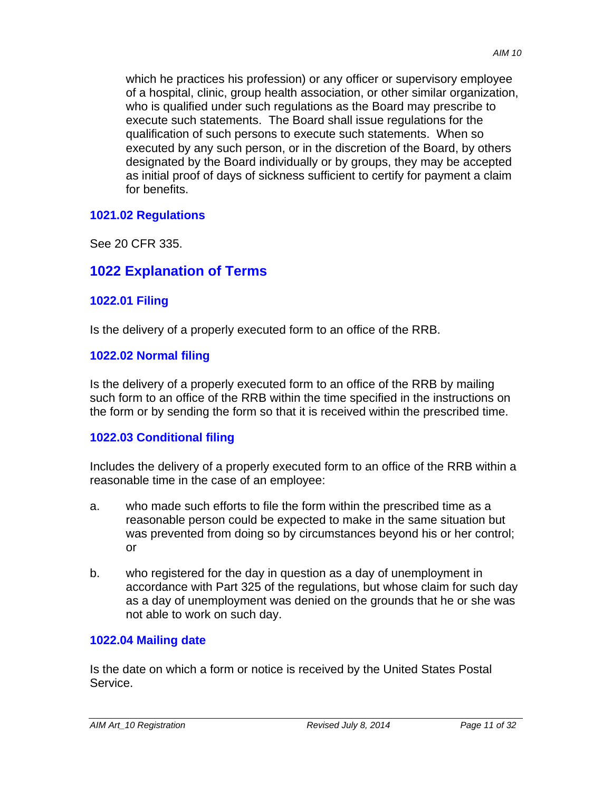which he practices his profession) or any officer or supervisory employee of a hospital, clinic, group health association, or other similar organization, who is qualified under such regulations as the Board may prescribe to execute such statements. The Board shall issue regulations for the qualification of such persons to execute such statements. When so executed by any such person, or in the discretion of the Board, by others designated by the Board individually or by groups, they may be accepted as initial proof of days of sickness sufficient to certify for payment a claim for benefits.

### **1021.02 Regulations**

See 20 CFR 335.

# **1022 Explanation of Terms**

## **1022.01 Filing**

Is the delivery of a properly executed form to an office of the RRB.

## **1022.02 Normal filing**

Is the delivery of a properly executed form to an office of the RRB by mailing such form to an office of the RRB within the time specified in the instructions on the form or by sending the form so that it is received within the prescribed time.

## **1022.03 Conditional filing**

Includes the delivery of a properly executed form to an office of the RRB within a reasonable time in the case of an employee:

- a. who made such efforts to file the form within the prescribed time as a reasonable person could be expected to make in the same situation but was prevented from doing so by circumstances beyond his or her control; or
- b. who registered for the day in question as a day of unemployment in accordance with Part 325 of the regulations, but whose claim for such day as a day of unemployment was denied on the grounds that he or she was not able to work on such day.

## **1022.04 Mailing date**

Is the date on which a form or notice is received by the United States Postal Service.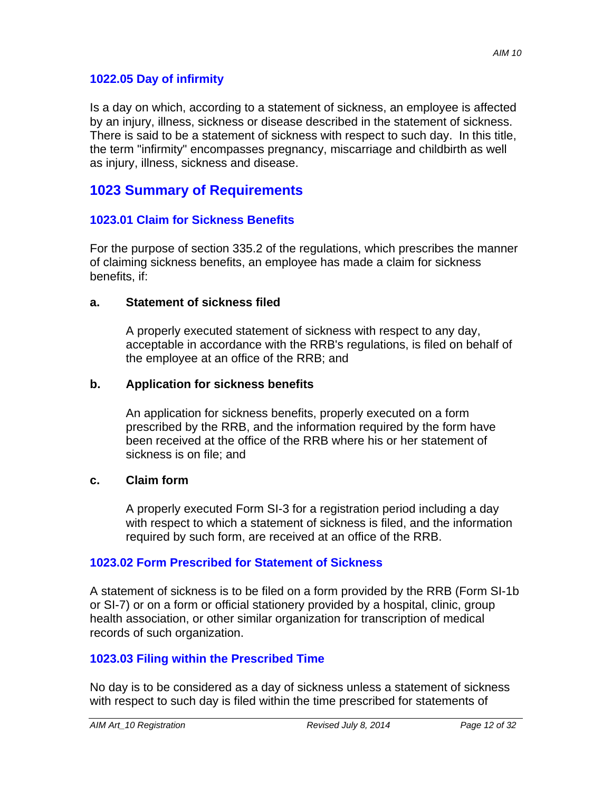### **1022.05 Day of infirmity**

Is a day on which, according to a statement of sickness, an employee is affected by an injury, illness, sickness or disease described in the statement of sickness. There is said to be a statement of sickness with respect to such day. In this title, the term "infirmity" encompasses pregnancy, miscarriage and childbirth as well as injury, illness, sickness and disease.

# **1023 Summary of Requirements**

### **1023.01 Claim for Sickness Benefits**

For the purpose of section 335.2 of the regulations, which prescribes the manner of claiming sickness benefits, an employee has made a claim for sickness benefits, if:

#### **a. Statement of sickness filed**

A properly executed statement of sickness with respect to any day, acceptable in accordance with the RRB's regulations, is filed on behalf of the employee at an office of the RRB; and

#### **b. Application for sickness benefits**

An application for sickness benefits, properly executed on a form prescribed by the RRB, and the information required by the form have been received at the office of the RRB where his or her statement of sickness is on file; and

#### **c. Claim form**

A properly executed Form SI-3 for a registration period including a day with respect to which a statement of sickness is filed, and the information required by such form, are received at an office of the RRB.

#### **1023.02 Form Prescribed for Statement of Sickness**

A statement of sickness is to be filed on a form provided by the RRB (Form SI-1b or SI-7) or on a form or official stationery provided by a hospital, clinic, group health association, or other similar organization for transcription of medical records of such organization.

## **1023.03 Filing within the Prescribed Time**

No day is to be considered as a day of sickness unless a statement of sickness with respect to such day is filed within the time prescribed for statements of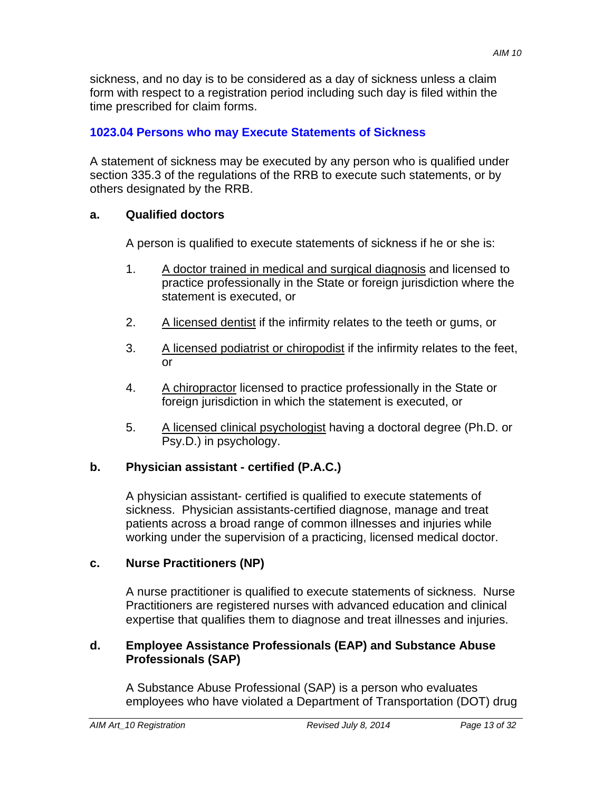sickness, and no day is to be considered as a day of sickness unless a claim form with respect to a registration period including such day is filed within the time prescribed for claim forms.

# **1023.04 Persons who may Execute Statements of Sickness**

A statement of sickness may be executed by any person who is qualified under section 335.3 of the regulations of the RRB to execute such statements, or by others designated by the RRB.

# **a. Qualified doctors**

A person is qualified to execute statements of sickness if he or she is:

- 1. A doctor trained in medical and surgical diagnosis and licensed to practice professionally in the State or foreign jurisdiction where the statement is executed, or
- 2. A licensed dentist if the infirmity relates to the teeth or gums, or
- 3. A licensed podiatrist or chiropodist if the infirmity relates to the feet, or
- 4. A chiropractor licensed to practice professionally in the State or foreign jurisdiction in which the statement is executed, or
- 5. A licensed clinical psychologist having a doctoral degree (Ph.D. or Psy.D.) in psychology.

# **b. Physician assistant - certified (P.A.C.)**

A physician assistant- certified is qualified to execute statements of sickness. Physician assistants-certified diagnose, manage and treat patients across a broad range of common illnesses and injuries while working under the supervision of a practicing, licensed medical doctor.

# **c. Nurse Practitioners (NP)**

A nurse practitioner is qualified to execute statements of sickness. Nurse Practitioners are registered nurses with advanced education and clinical expertise that qualifies them to diagnose and treat illnesses and injuries.

## **d. Employee Assistance Professionals (EAP) and Substance Abuse Professionals (SAP)**

A Substance Abuse Professional (SAP) is a person who evaluates employees who have violated a Department of Transportation (DOT) drug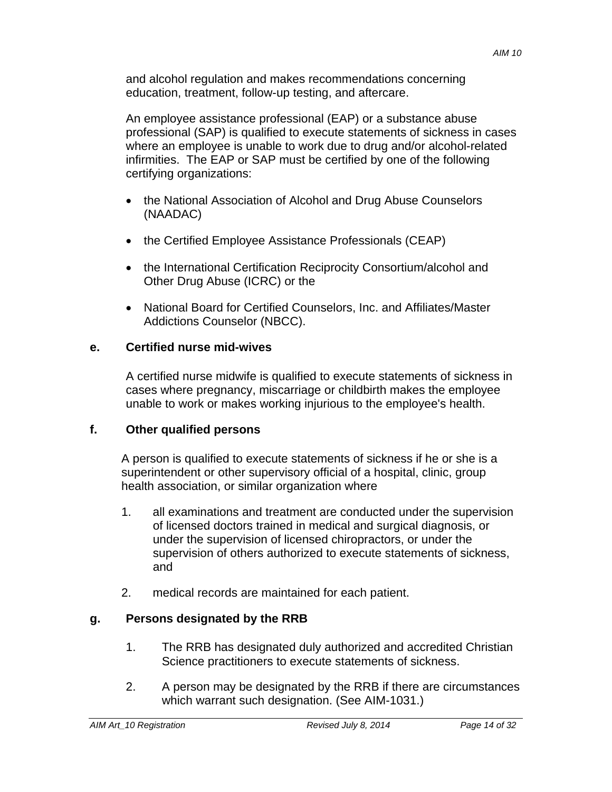and alcohol regulation and makes recommendations concerning education, treatment, follow-up testing, and aftercare.

An employee assistance professional (EAP) or a substance abuse professional (SAP) is qualified to execute statements of sickness in cases where an employee is unable to work due to drug and/or alcohol-related infirmities. The EAP or SAP must be certified by one of the following certifying organizations:

- the National Association of Alcohol and Drug Abuse Counselors (NAADAC)
- the Certified Employee Assistance Professionals (CEAP)
- the International Certification Reciprocity Consortium/alcohol and Other Drug Abuse (ICRC) or the
- National Board for Certified Counselors, Inc. and Affiliates/Master Addictions Counselor (NBCC).

## **e. Certified nurse mid-wives**

A certified nurse midwife is qualified to execute statements of sickness in cases where pregnancy, miscarriage or childbirth makes the employee unable to work or makes working injurious to the employee's health.

## **f. Other qualified persons**

A person is qualified to execute statements of sickness if he or she is a superintendent or other supervisory official of a hospital, clinic, group health association, or similar organization where

- 1. all examinations and treatment are conducted under the supervision of licensed doctors trained in medical and surgical diagnosis, or under the supervision of licensed chiropractors, or under the supervision of others authorized to execute statements of sickness, and
- 2. medical records are maintained for each patient.

# **g. Persons designated by the RRB**

- 1. The RRB has designated duly authorized and accredited Christian Science practitioners to execute statements of sickness.
- 2. A person may be designated by the RRB if there are circumstances which warrant such designation. (See AIM-1031.)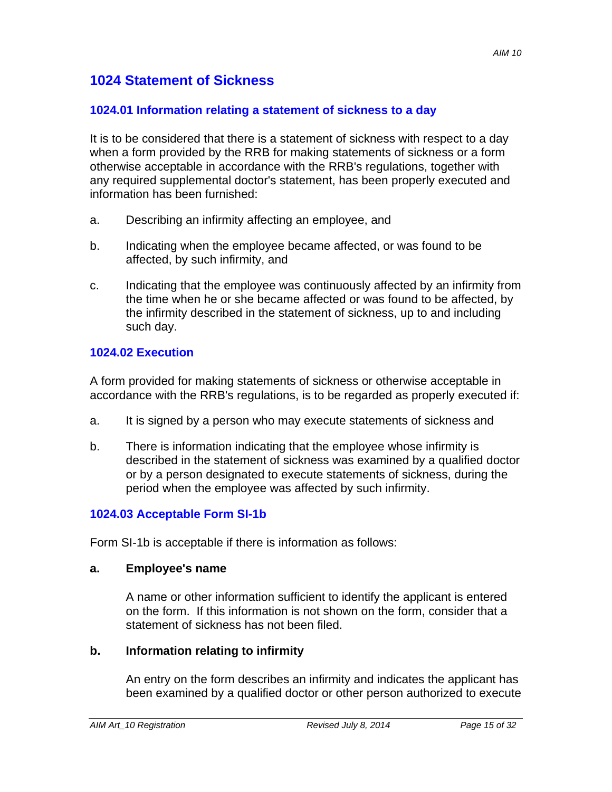# **1024 Statement of Sickness**

#### **1024.01 Information relating a statement of sickness to a day**

It is to be considered that there is a statement of sickness with respect to a day when a form provided by the RRB for making statements of sickness or a form otherwise acceptable in accordance with the RRB's regulations, together with any required supplemental doctor's statement, has been properly executed and information has been furnished:

- a. Describing an infirmity affecting an employee, and
- b. Indicating when the employee became affected, or was found to be affected, by such infirmity, and
- c. Indicating that the employee was continuously affected by an infirmity from the time when he or she became affected or was found to be affected, by the infirmity described in the statement of sickness, up to and including such day.

### **1024.02 Execution**

A form provided for making statements of sickness or otherwise acceptable in accordance with the RRB's regulations, is to be regarded as properly executed if:

- a. It is signed by a person who may execute statements of sickness and
- b. There is information indicating that the employee whose infirmity is described in the statement of sickness was examined by a qualified doctor or by a person designated to execute statements of sickness, during the period when the employee was affected by such infirmity.

#### **1024.03 Acceptable Form SI-1b**

Form SI-1b is acceptable if there is information as follows:

#### **a. Employee's name**

A name or other information sufficient to identify the applicant is entered on the form. If this information is not shown on the form, consider that a statement of sickness has not been filed.

#### **b. Information relating to infirmity**

An entry on the form describes an infirmity and indicates the applicant has been examined by a qualified doctor or other person authorized to execute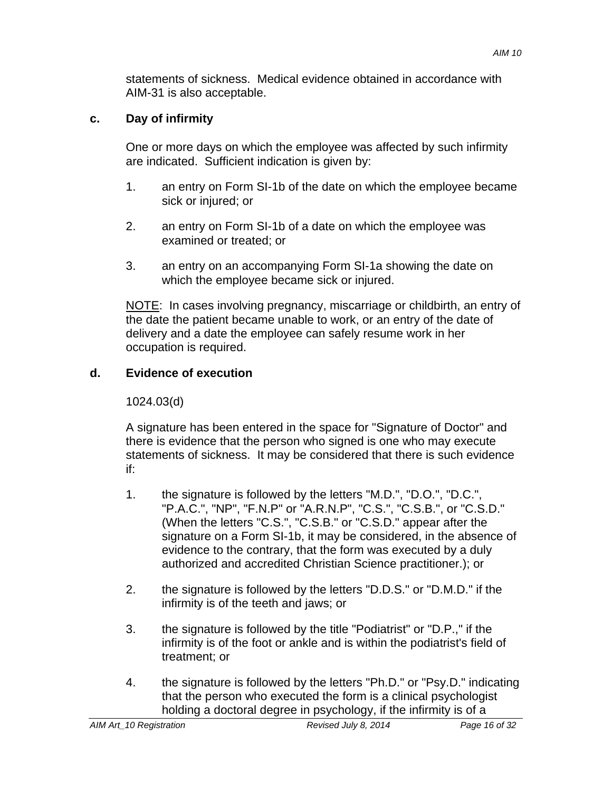statements of sickness. Medical evidence obtained in accordance with AIM-31 is also acceptable.

# **c. Day of infirmity**

One or more days on which the employee was affected by such infirmity are indicated. Sufficient indication is given by:

- 1. an entry on Form SI-1b of the date on which the employee became sick or injured; or
- 2. an entry on Form SI-1b of a date on which the employee was examined or treated; or
- 3. an entry on an accompanying Form SI-1a showing the date on which the employee became sick or injured.

NOTE: In cases involving pregnancy, miscarriage or childbirth, an entry of the date the patient became unable to work, or an entry of the date of delivery and a date the employee can safely resume work in her occupation is required.

# **d. Evidence of execution**

1024.03(d)

A signature has been entered in the space for "Signature of Doctor" and there is evidence that the person who signed is one who may execute statements of sickness. It may be considered that there is such evidence if:

- 1. the signature is followed by the letters "M.D.", "D.O.", "D.C.", "P.A.C.", "NP", "F.N.P" or "A.R.N.P", "C.S.", "C.S.B.", or "C.S.D." (When the letters "C.S.", "C.S.B." or "C.S.D." appear after the signature on a Form SI-1b, it may be considered, in the absence of evidence to the contrary, that the form was executed by a duly authorized and accredited Christian Science practitioner.); or
- 2. the signature is followed by the letters "D.D.S." or "D.M.D." if the infirmity is of the teeth and jaws; or
- 3. the signature is followed by the title "Podiatrist" or "D.P.," if the infirmity is of the foot or ankle and is within the podiatrist's field of treatment; or
- 4. the signature is followed by the letters "Ph.D." or "Psy.D." indicating that the person who executed the form is a clinical psychologist holding a doctoral degree in psychology, if the infirmity is of a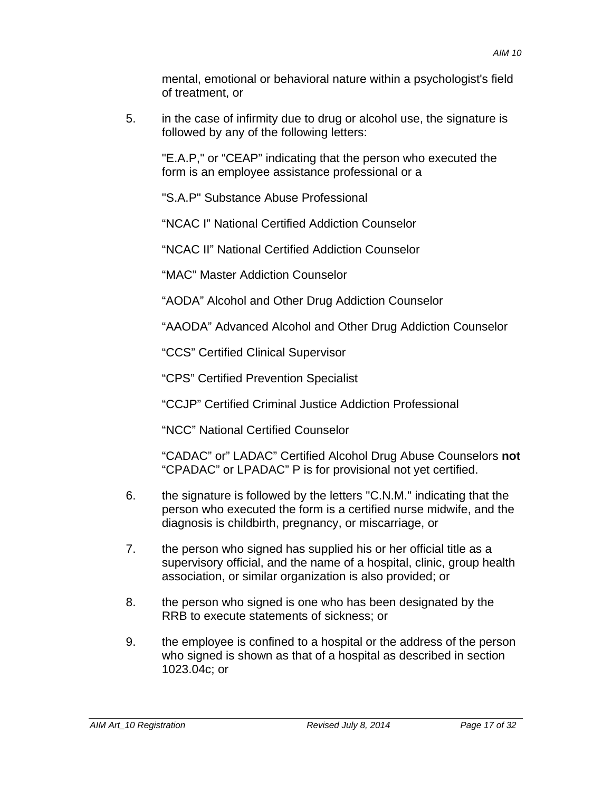mental, emotional or behavioral nature within a psychologist's field of treatment, or

5. in the case of infirmity due to drug or alcohol use, the signature is followed by any of the following letters:

"E.A.P," or "CEAP" indicating that the person who executed the form is an employee assistance professional or a

"S.A.P" Substance Abuse Professional

"NCAC I" National Certified Addiction Counselor

"NCAC II" National Certified Addiction Counselor

"MAC" Master Addiction Counselor

"AODA" Alcohol and Other Drug Addiction Counselor

"AAODA" Advanced Alcohol and Other Drug Addiction Counselor

"CCS" Certified Clinical Supervisor

"CPS" Certified Prevention Specialist

"CCJP" Certified Criminal Justice Addiction Professional

"NCC" National Certified Counselor

"CADAC" or" LADAC" Certified Alcohol Drug Abuse Counselors **not**  "CPADAC" or LPADAC" P is for provisional not yet certified.

- 6. the signature is followed by the letters "C.N.M." indicating that the person who executed the form is a certified nurse midwife, and the diagnosis is childbirth, pregnancy, or miscarriage, or
- 7. the person who signed has supplied his or her official title as a supervisory official, and the name of a hospital, clinic, group health association, or similar organization is also provided; or
- 8. the person who signed is one who has been designated by the RRB to execute statements of sickness; or
- 9. the employee is confined to a hospital or the address of the person who signed is shown as that of a hospital as described in section 1023.04c; or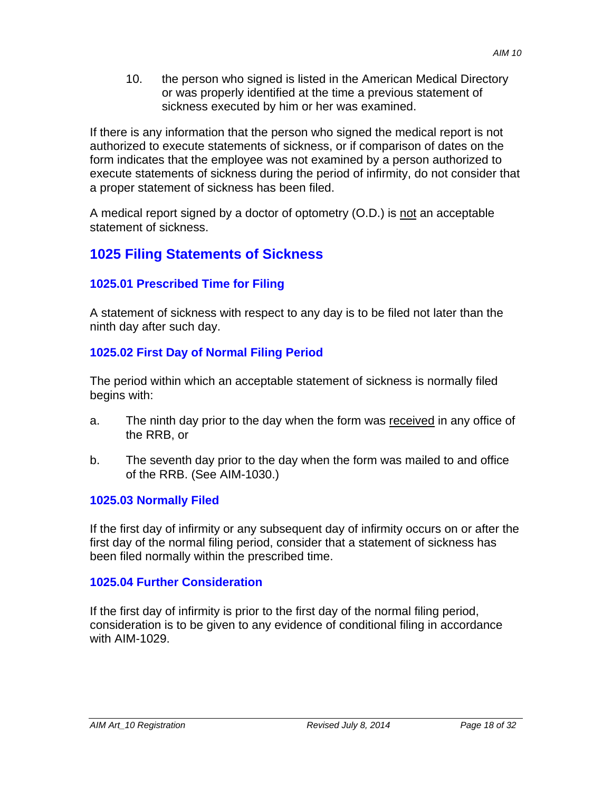10. the person who signed is listed in the American Medical Directory or was properly identified at the time a previous statement of sickness executed by him or her was examined.

If there is any information that the person who signed the medical report is not authorized to execute statements of sickness, or if comparison of dates on the form indicates that the employee was not examined by a person authorized to execute statements of sickness during the period of infirmity, do not consider that a proper statement of sickness has been filed.

A medical report signed by a doctor of optometry (O.D.) is not an acceptable statement of sickness.

# **1025 Filing Statements of Sickness**

# **1025.01 Prescribed Time for Filing**

A statement of sickness with respect to any day is to be filed not later than the ninth day after such day.

# **1025.02 First Day of Normal Filing Period**

The period within which an acceptable statement of sickness is normally filed begins with:

- a. The ninth day prior to the day when the form was received in any office of the RRB, or
- b. The seventh day prior to the day when the form was mailed to and office of the RRB. (See AIM-1030.)

## **1025.03 Normally Filed**

If the first day of infirmity or any subsequent day of infirmity occurs on or after the first day of the normal filing period, consider that a statement of sickness has been filed normally within the prescribed time.

## **1025.04 Further Consideration**

If the first day of infirmity is prior to the first day of the normal filing period, consideration is to be given to any evidence of conditional filing in accordance with AIM-1029.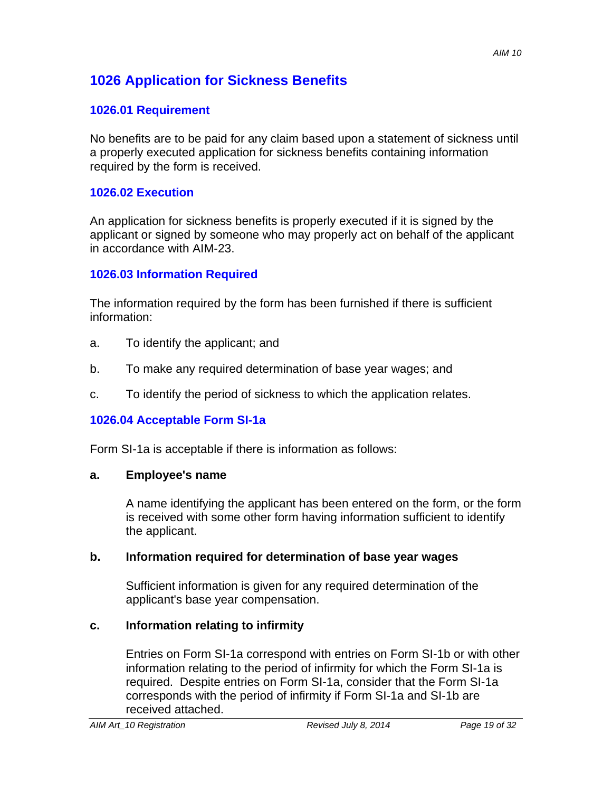# **1026 Application for Sickness Benefits**

# **1026.01 Requirement**

No benefits are to be paid for any claim based upon a statement of sickness until a properly executed application for sickness benefits containing information required by the form is received.

## **1026.02 Execution**

An application for sickness benefits is properly executed if it is signed by the applicant or signed by someone who may properly act on behalf of the applicant in accordance with AIM-23.

# **1026.03 Information Required**

The information required by the form has been furnished if there is sufficient information:

- a. To identify the applicant; and
- b. To make any required determination of base year wages; and
- c. To identify the period of sickness to which the application relates.

# **1026.04 Acceptable Form SI-1a**

Form SI-1a is acceptable if there is information as follows:

## **a. Employee's name**

A name identifying the applicant has been entered on the form, or the form is received with some other form having information sufficient to identify the applicant.

## **b. Information required for determination of base year wages**

Sufficient information is given for any required determination of the applicant's base year compensation.

# **c. Information relating to infirmity**

Entries on Form SI-1a correspond with entries on Form SI-1b or with other information relating to the period of infirmity for which the Form SI-1a is required. Despite entries on Form SI-1a, consider that the Form SI-1a corresponds with the period of infirmity if Form SI-1a and SI-1b are received attached.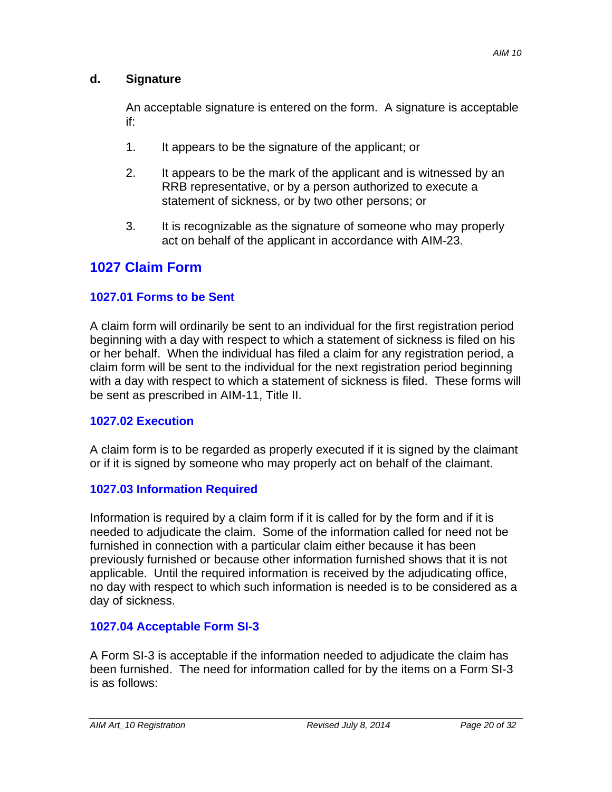# **d. Signature**

An acceptable signature is entered on the form. A signature is acceptable if:

- 1. It appears to be the signature of the applicant; or
- 2. It appears to be the mark of the applicant and is witnessed by an RRB representative, or by a person authorized to execute a statement of sickness, or by two other persons; or
- 3. It is recognizable as the signature of someone who may properly act on behalf of the applicant in accordance with AIM-23.

# **1027 Claim Form**

# **1027.01 Forms to be Sent**

A claim form will ordinarily be sent to an individual for the first registration period beginning with a day with respect to which a statement of sickness is filed on his or her behalf. When the individual has filed a claim for any registration period, a claim form will be sent to the individual for the next registration period beginning with a day with respect to which a statement of sickness is filed. These forms will be sent as prescribed in AIM-11, Title II.

## **1027.02 Execution**

A claim form is to be regarded as properly executed if it is signed by the claimant or if it is signed by someone who may properly act on behalf of the claimant.

## **1027.03 Information Required**

Information is required by a claim form if it is called for by the form and if it is needed to adjudicate the claim. Some of the information called for need not be furnished in connection with a particular claim either because it has been previously furnished or because other information furnished shows that it is not applicable. Until the required information is received by the adjudicating office, no day with respect to which such information is needed is to be considered as a day of sickness.

# **1027.04 Acceptable Form SI-3**

A Form SI-3 is acceptable if the information needed to adjudicate the claim has been furnished. The need for information called for by the items on a Form SI-3 is as follows: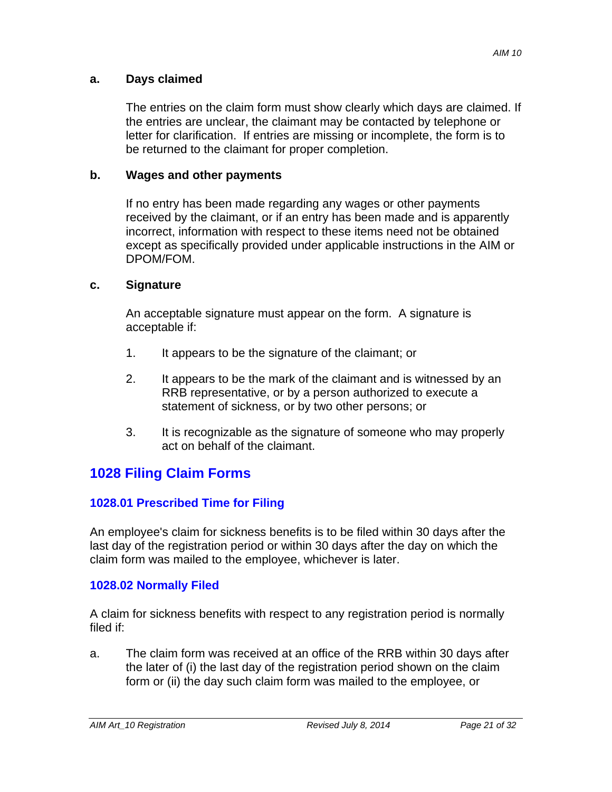### **a. Days claimed**

The entries on the claim form must show clearly which days are claimed. If the entries are unclear, the claimant may be contacted by telephone or letter for clarification. If entries are missing or incomplete, the form is to be returned to the claimant for proper completion.

## **b. Wages and other payments**

If no entry has been made regarding any wages or other payments received by the claimant, or if an entry has been made and is apparently incorrect, information with respect to these items need not be obtained except as specifically provided under applicable instructions in the AIM or DPOM/FOM.

## **c. Signature**

An acceptable signature must appear on the form. A signature is acceptable if:

- 1. It appears to be the signature of the claimant; or
- 2. It appears to be the mark of the claimant and is witnessed by an RRB representative, or by a person authorized to execute a statement of sickness, or by two other persons; or
- 3. It is recognizable as the signature of someone who may properly act on behalf of the claimant.

# **1028 Filing Claim Forms**

# **1028.01 Prescribed Time for Filing**

An employee's claim for sickness benefits is to be filed within 30 days after the last day of the registration period or within 30 days after the day on which the claim form was mailed to the employee, whichever is later.

## **1028.02 Normally Filed**

A claim for sickness benefits with respect to any registration period is normally filed if:

a. The claim form was received at an office of the RRB within 30 days after the later of (i) the last day of the registration period shown on the claim form or (ii) the day such claim form was mailed to the employee, or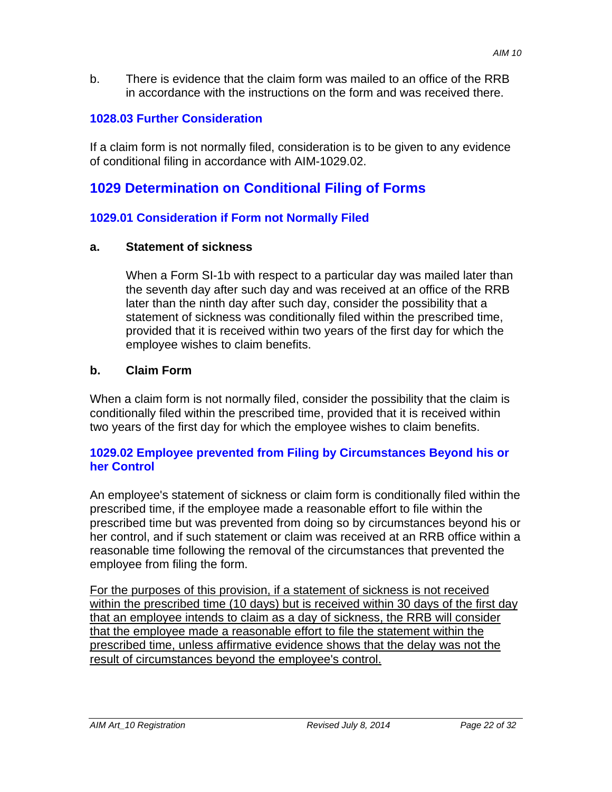b. There is evidence that the claim form was mailed to an office of the RRB in accordance with the instructions on the form and was received there.

### **1028.03 Further Consideration**

If a claim form is not normally filed, consideration is to be given to any evidence of conditional filing in accordance with AIM-1029.02.

# **1029 Determination on Conditional Filing of Forms**

### **1029.01 Consideration if Form not Normally Filed**

#### **a. Statement of sickness**

When a Form SI-1b with respect to a particular day was mailed later than the seventh day after such day and was received at an office of the RRB later than the ninth day after such day, consider the possibility that a statement of sickness was conditionally filed within the prescribed time, provided that it is received within two years of the first day for which the employee wishes to claim benefits.

### **b. Claim Form**

When a claim form is not normally filed, consider the possibility that the claim is conditionally filed within the prescribed time, provided that it is received within two years of the first day for which the employee wishes to claim benefits.

### **1029.02 Employee prevented from Filing by Circumstances Beyond his or her Control**

An employee's statement of sickness or claim form is conditionally filed within the prescribed time, if the employee made a reasonable effort to file within the prescribed time but was prevented from doing so by circumstances beyond his or her control, and if such statement or claim was received at an RRB office within a reasonable time following the removal of the circumstances that prevented the employee from filing the form.

For the purposes of this provision, if a statement of sickness is not received within the prescribed time (10 days) but is received within 30 days of the first day that an employee intends to claim as a day of sickness, the RRB will consider that the employee made a reasonable effort to file the statement within the prescribed time, unless affirmative evidence shows that the delay was not the result of circumstances beyond the employee's control.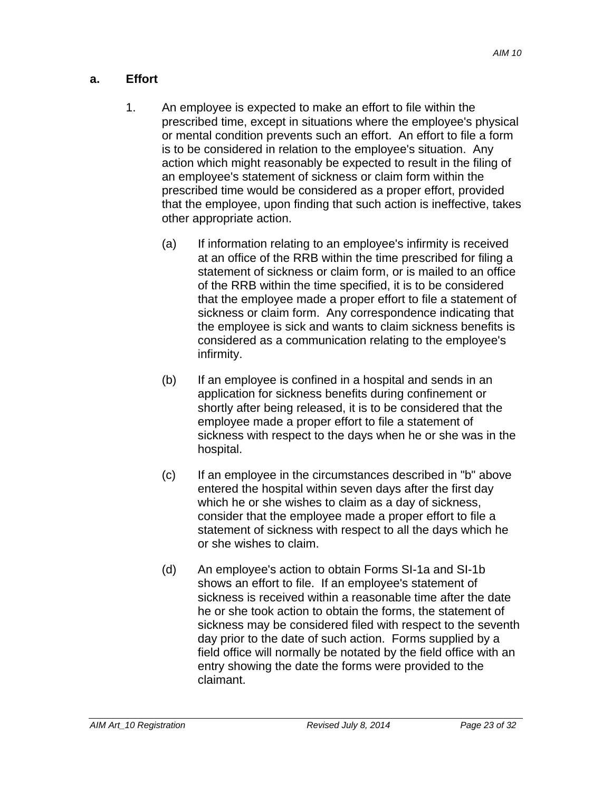## **a. Effort**

- 1. An employee is expected to make an effort to file within the prescribed time, except in situations where the employee's physical or mental condition prevents such an effort. An effort to file a form is to be considered in relation to the employee's situation. Any action which might reasonably be expected to result in the filing of an employee's statement of sickness or claim form within the prescribed time would be considered as a proper effort, provided that the employee, upon finding that such action is ineffective, takes other appropriate action.
	- (a) If information relating to an employee's infirmity is received at an office of the RRB within the time prescribed for filing a statement of sickness or claim form, or is mailed to an office of the RRB within the time specified, it is to be considered that the employee made a proper effort to file a statement of sickness or claim form. Any correspondence indicating that the employee is sick and wants to claim sickness benefits is considered as a communication relating to the employee's infirmity.
	- (b) If an employee is confined in a hospital and sends in an application for sickness benefits during confinement or shortly after being released, it is to be considered that the employee made a proper effort to file a statement of sickness with respect to the days when he or she was in the hospital.
	- (c) If an employee in the circumstances described in "b" above entered the hospital within seven days after the first day which he or she wishes to claim as a day of sickness, consider that the employee made a proper effort to file a statement of sickness with respect to all the days which he or she wishes to claim.
	- (d) An employee's action to obtain Forms SI-1a and SI-1b shows an effort to file. If an employee's statement of sickness is received within a reasonable time after the date he or she took action to obtain the forms, the statement of sickness may be considered filed with respect to the seventh day prior to the date of such action. Forms supplied by a field office will normally be notated by the field office with an entry showing the date the forms were provided to the claimant.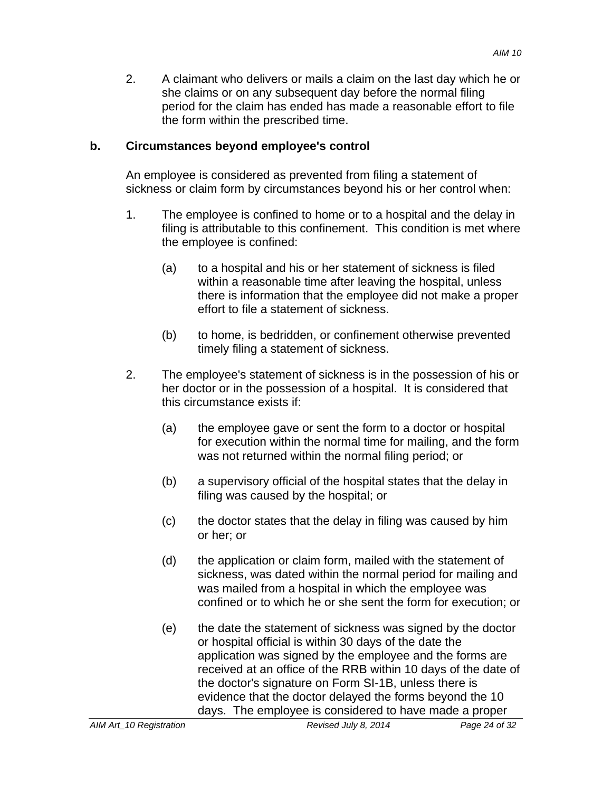2. A claimant who delivers or mails a claim on the last day which he or she claims or on any subsequent day before the normal filing period for the claim has ended has made a reasonable effort to file the form within the prescribed time.

### **b. Circumstances beyond employee's control**

An employee is considered as prevented from filing a statement of sickness or claim form by circumstances beyond his or her control when:

- 1. The employee is confined to home or to a hospital and the delay in filing is attributable to this confinement. This condition is met where the employee is confined:
	- (a) to a hospital and his or her statement of sickness is filed within a reasonable time after leaving the hospital, unless there is information that the employee did not make a proper effort to file a statement of sickness.
	- (b) to home, is bedridden, or confinement otherwise prevented timely filing a statement of sickness.
- 2. The employee's statement of sickness is in the possession of his or her doctor or in the possession of a hospital. It is considered that this circumstance exists if:
	- (a) the employee gave or sent the form to a doctor or hospital for execution within the normal time for mailing, and the form was not returned within the normal filing period; or
	- (b) a supervisory official of the hospital states that the delay in filing was caused by the hospital; or
	- (c) the doctor states that the delay in filing was caused by him or her; or
	- (d) the application or claim form, mailed with the statement of sickness, was dated within the normal period for mailing and was mailed from a hospital in which the employee was confined or to which he or she sent the form for execution; or
	- (e) the date the statement of sickness was signed by the doctor or hospital official is within 30 days of the date the application was signed by the employee and the forms are received at an office of the RRB within 10 days of the date of the doctor's signature on Form SI-1B, unless there is evidence that the doctor delayed the forms beyond the 10 days. The employee is considered to have made a proper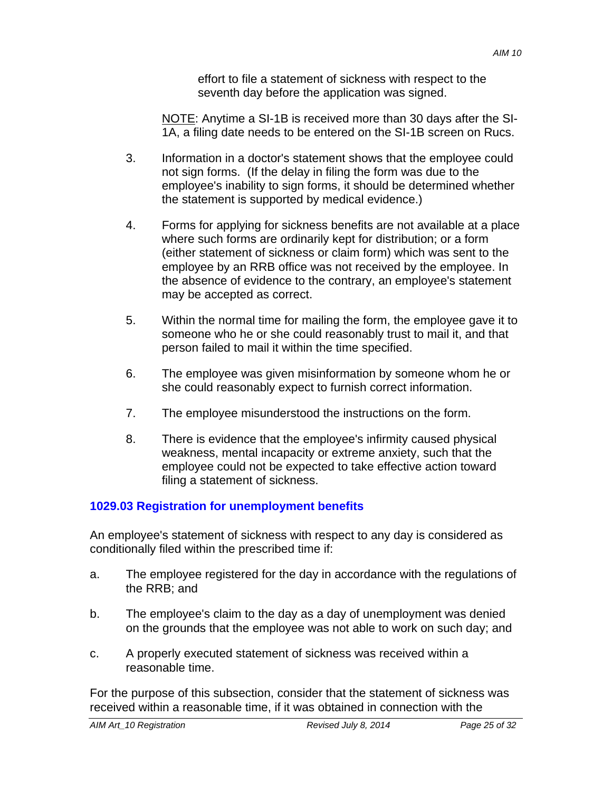effort to file a statement of sickness with respect to the seventh day before the application was signed.

NOTE: Anytime a SI-1B is received more than 30 days after the SI-1A, a filing date needs to be entered on the SI-1B screen on Rucs.

- 3. Information in a doctor's statement shows that the employee could not sign forms. (If the delay in filing the form was due to the employee's inability to sign forms, it should be determined whether the statement is supported by medical evidence.)
- 4. Forms for applying for sickness benefits are not available at a place where such forms are ordinarily kept for distribution; or a form (either statement of sickness or claim form) which was sent to the employee by an RRB office was not received by the employee. In the absence of evidence to the contrary, an employee's statement may be accepted as correct.
- 5. Within the normal time for mailing the form, the employee gave it to someone who he or she could reasonably trust to mail it, and that person failed to mail it within the time specified.
- 6. The employee was given misinformation by someone whom he or she could reasonably expect to furnish correct information.
- 7. The employee misunderstood the instructions on the form.
- 8. There is evidence that the employee's infirmity caused physical weakness, mental incapacity or extreme anxiety, such that the employee could not be expected to take effective action toward filing a statement of sickness.

# **1029.03 Registration for unemployment benefits**

An employee's statement of sickness with respect to any day is considered as conditionally filed within the prescribed time if:

- a. The employee registered for the day in accordance with the regulations of the RRB; and
- b. The employee's claim to the day as a day of unemployment was denied on the grounds that the employee was not able to work on such day; and
- c. A properly executed statement of sickness was received within a reasonable time.

For the purpose of this subsection, consider that the statement of sickness was received within a reasonable time, if it was obtained in connection with the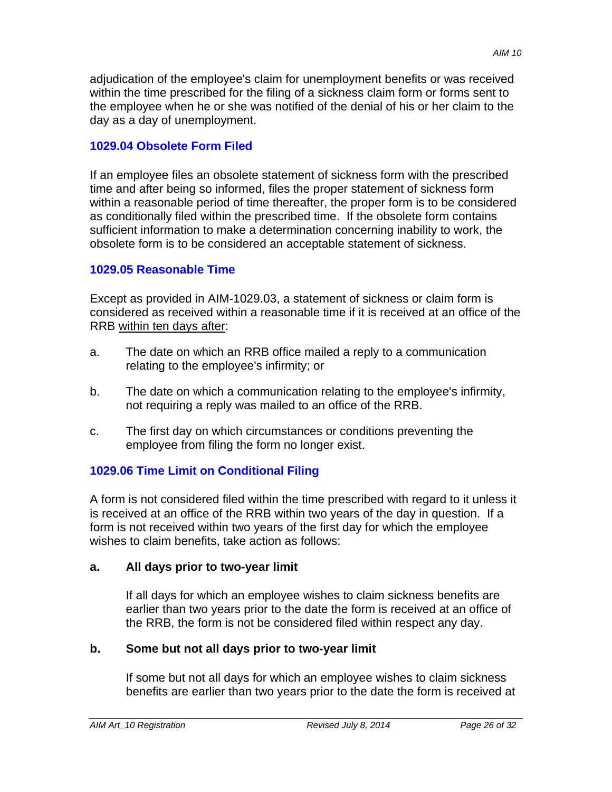adjudication of the employee's claim for unemployment benefits or was received within the time prescribed for the filing of a sickness claim form or forms sent to the employee when he or she was notified of the denial of his or her claim to the day as a day of unemployment.

### **1029.04 Obsolete Form Filed**

If an employee files an obsolete statement of sickness form with the prescribed time and after being so informed, files the proper statement of sickness form within a reasonable period of time thereafter, the proper form is to be considered as conditionally filed within the prescribed time. If the obsolete form contains sufficient information to make a determination concerning inability to work, the obsolete form is to be considered an acceptable statement of sickness.

### **1029.05 Reasonable Time**

Except as provided in AIM-1029.03, a statement of sickness or claim form is considered as received within a reasonable time if it is received at an office of the RRB within ten days after:

- a. The date on which an RRB office mailed a reply to a communication relating to the employee's infirmity; or
- b. The date on which a communication relating to the employee's infirmity, not requiring a reply was mailed to an office of the RRB.
- c. The first day on which circumstances or conditions preventing the employee from filing the form no longer exist.

## **1029.06 Time Limit on Conditional Filing**

A form is not considered filed within the time prescribed with regard to it unless it is received at an office of the RRB within two years of the day in question. If a form is not received within two years of the first day for which the employee wishes to claim benefits, take action as follows:

#### **a. All days prior to two-year limit**

If all days for which an employee wishes to claim sickness benefits are earlier than two years prior to the date the form is received at an office of the RRB, the form is not be considered filed within respect any day.

## **b. Some but not all days prior to two-year limit**

If some but not all days for which an employee wishes to claim sickness benefits are earlier than two years prior to the date the form is received at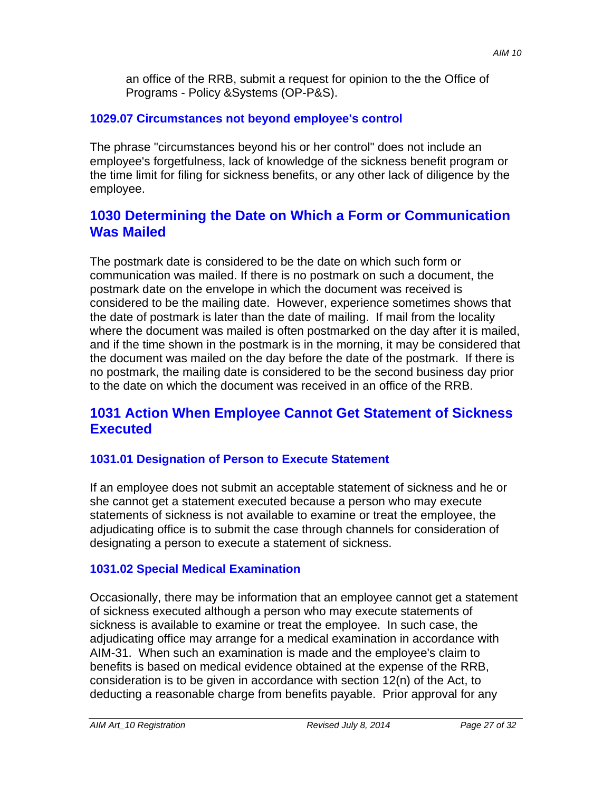an office of the RRB, submit a request for opinion to the the Office of Programs - Policy &Systems (OP-P&S).

## **1029.07 Circumstances not beyond employee's control**

The phrase "circumstances beyond his or her control" does not include an employee's forgetfulness, lack of knowledge of the sickness benefit program or the time limit for filing for sickness benefits, or any other lack of diligence by the employee.

# **1030 Determining the Date on Which a Form or Communication Was Mailed**

The postmark date is considered to be the date on which such form or communication was mailed. If there is no postmark on such a document, the postmark date on the envelope in which the document was received is considered to be the mailing date. However, experience sometimes shows that the date of postmark is later than the date of mailing. If mail from the locality where the document was mailed is often postmarked on the day after it is mailed, and if the time shown in the postmark is in the morning, it may be considered that the document was mailed on the day before the date of the postmark. If there is no postmark, the mailing date is considered to be the second business day prior to the date on which the document was received in an office of the RRB.

# **1031 Action When Employee Cannot Get Statement of Sickness Executed**

#### **1031.01 Designation of Person to Execute Statement**

If an employee does not submit an acceptable statement of sickness and he or she cannot get a statement executed because a person who may execute statements of sickness is not available to examine or treat the employee, the adjudicating office is to submit the case through channels for consideration of designating a person to execute a statement of sickness.

#### **1031.02 Special Medical Examination**

Occasionally, there may be information that an employee cannot get a statement of sickness executed although a person who may execute statements of sickness is available to examine or treat the employee. In such case, the adjudicating office may arrange for a medical examination in accordance with AIM-31. When such an examination is made and the employee's claim to benefits is based on medical evidence obtained at the expense of the RRB, consideration is to be given in accordance with section 12(n) of the Act, to deducting a reasonable charge from benefits payable. Prior approval for any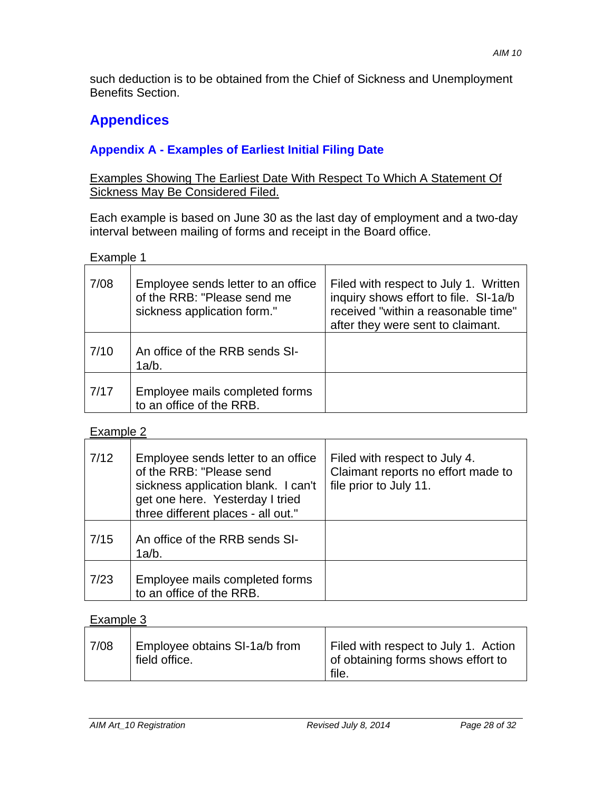such deduction is to be obtained from the Chief of Sickness and Unemployment Benefits Section.

# **Appendices**

# **Appendix A - Examples of Earliest Initial Filing Date**

## Examples Showing The Earliest Date With Respect To Which A Statement Of Sickness May Be Considered Filed.

Each example is based on June 30 as the last day of employment and a two-day interval between mailing of forms and receipt in the Board office.

Example 1

| 7/08 | Employee sends letter to an office<br>of the RRB: "Please send me<br>sickness application form." | Filed with respect to July 1. Written<br>inquiry shows effort to file. SI-1a/b<br>received "within a reasonable time"<br>after they were sent to claimant. |
|------|--------------------------------------------------------------------------------------------------|------------------------------------------------------------------------------------------------------------------------------------------------------------|
| 7/10 | An office of the RRB sends SI-<br>1a/b.                                                          |                                                                                                                                                            |
| 7/17 | Employee mails completed forms<br>to an office of the RRB.                                       |                                                                                                                                                            |

Example 2

| 7/12 | Employee sends letter to an office<br>of the RRB: "Please send<br>sickness application blank. I can't<br>get one here. Yesterday I tried<br>three different places - all out." | Filed with respect to July 4.<br>Claimant reports no effort made to<br>file prior to July 11. |
|------|--------------------------------------------------------------------------------------------------------------------------------------------------------------------------------|-----------------------------------------------------------------------------------------------|
| 7/15 | An office of the RRB sends SI-<br>1a/b.                                                                                                                                        |                                                                                               |
| 7/23 | Employee mails completed forms<br>to an office of the RRB.                                                                                                                     |                                                                                               |

# Example 3

| 7/08 | Employee obtains SI-1a/b from<br>field office. | Filed with respect to July 1. Action<br>of obtaining forms shows effort to<br>file. |
|------|------------------------------------------------|-------------------------------------------------------------------------------------|
|------|------------------------------------------------|-------------------------------------------------------------------------------------|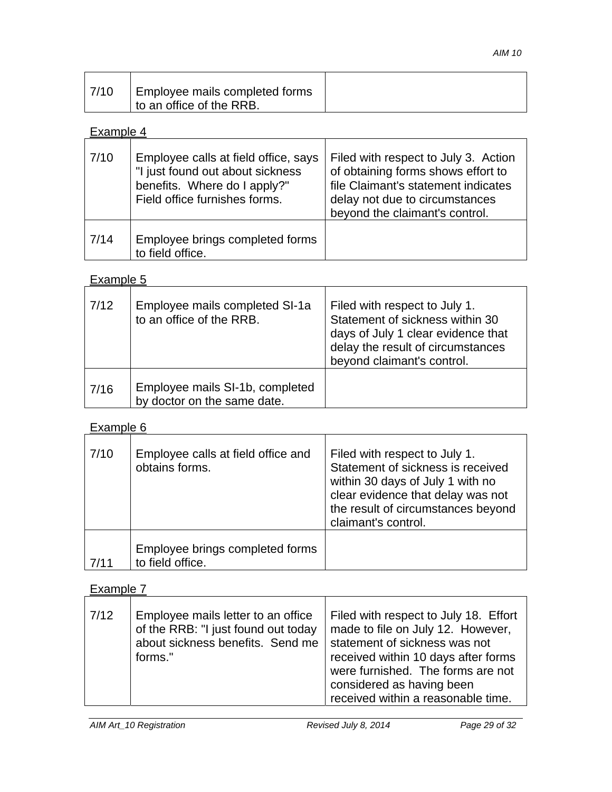| 7/10 | Employee mails completed forms |
|------|--------------------------------|
|      | I to an office of the RRB.     |

## Example 4

| 7/10 | Employee calls at field office, says<br>"I just found out about sickness<br>benefits. Where do I apply?"<br>Field office furnishes forms. | Filed with respect to July 3. Action<br>of obtaining forms shows effort to<br>file Claimant's statement indicates<br>delay not due to circumstances<br>beyond the claimant's control. |
|------|-------------------------------------------------------------------------------------------------------------------------------------------|---------------------------------------------------------------------------------------------------------------------------------------------------------------------------------------|
| 7/14 | Employee brings completed forms<br>to field office.                                                                                       |                                                                                                                                                                                       |

# Example 5

| 7/12 | Employee mails completed SI-1a<br>to an office of the RRB.     | Filed with respect to July 1.<br>Statement of sickness within 30<br>days of July 1 clear evidence that<br>delay the result of circumstances<br>beyond claimant's control. |
|------|----------------------------------------------------------------|---------------------------------------------------------------------------------------------------------------------------------------------------------------------------|
| 7/16 | Employee mails SI-1b, completed<br>by doctor on the same date. |                                                                                                                                                                           |

# Example 6

| 7/10 | Employee calls at field office and<br>obtains forms. | Filed with respect to July 1.<br>Statement of sickness is received<br>within 30 days of July 1 with no<br>clear evidence that delay was not<br>the result of circumstances beyond<br>claimant's control. |
|------|------------------------------------------------------|----------------------------------------------------------------------------------------------------------------------------------------------------------------------------------------------------------|
| 7/11 | Employee brings completed forms<br>to field office.  |                                                                                                                                                                                                          |

# Example 7

| 7/12 | Employee mails letter to an office<br>of the RRB: "I just found out today<br>about sickness benefits. Send me<br>forms." | Filed with respect to July 18. Effort<br>made to file on July 12. However,<br>statement of sickness was not<br>received within 10 days after forms<br>were furnished. The forms are not<br>considered as having been<br>received within a reasonable time. |
|------|--------------------------------------------------------------------------------------------------------------------------|------------------------------------------------------------------------------------------------------------------------------------------------------------------------------------------------------------------------------------------------------------|
|------|--------------------------------------------------------------------------------------------------------------------------|------------------------------------------------------------------------------------------------------------------------------------------------------------------------------------------------------------------------------------------------------------|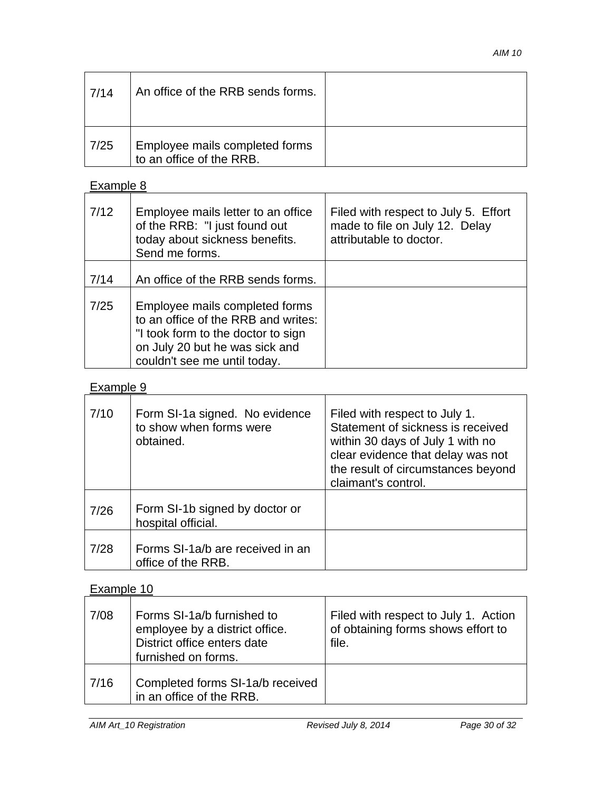| 7/14 | An office of the RRB sends forms.                          |  |
|------|------------------------------------------------------------|--|
| 7/25 | Employee mails completed forms<br>to an office of the RRB. |  |

# Example 8

| 7/12 | Employee mails letter to an office<br>of the RRB: "I just found out<br>today about sickness benefits.<br>Send me forms.                                                       | Filed with respect to July 5. Effort<br>made to file on July 12. Delay<br>attributable to doctor. |
|------|-------------------------------------------------------------------------------------------------------------------------------------------------------------------------------|---------------------------------------------------------------------------------------------------|
| 7/14 | An office of the RRB sends forms.                                                                                                                                             |                                                                                                   |
| 7/25 | Employee mails completed forms<br>to an office of the RRB and writes:<br>"I took form to the doctor to sign<br>on July 20 but he was sick and<br>couldn't see me until today. |                                                                                                   |

# Example 9

| 7/10 | Form SI-1a signed. No evidence<br>to show when forms were<br>obtained. | Filed with respect to July 1.<br>Statement of sickness is received<br>within 30 days of July 1 with no<br>clear evidence that delay was not<br>the result of circumstances beyond<br>claimant's control. |
|------|------------------------------------------------------------------------|----------------------------------------------------------------------------------------------------------------------------------------------------------------------------------------------------------|
| 7/26 | Form SI-1b signed by doctor or<br>hospital official.                   |                                                                                                                                                                                                          |
| 7/28 | Forms SI-1a/b are received in an<br>office of the RRB.                 |                                                                                                                                                                                                          |

# Example 10

| 7/08 | Forms SI-1a/b furnished to<br>employee by a district office.<br>District office enters date<br>furnished on forms. | Filed with respect to July 1. Action<br>of obtaining forms shows effort to<br>file. |
|------|--------------------------------------------------------------------------------------------------------------------|-------------------------------------------------------------------------------------|
| 7/16 | Completed forms SI-1a/b received<br>in an office of the RRB.                                                       |                                                                                     |